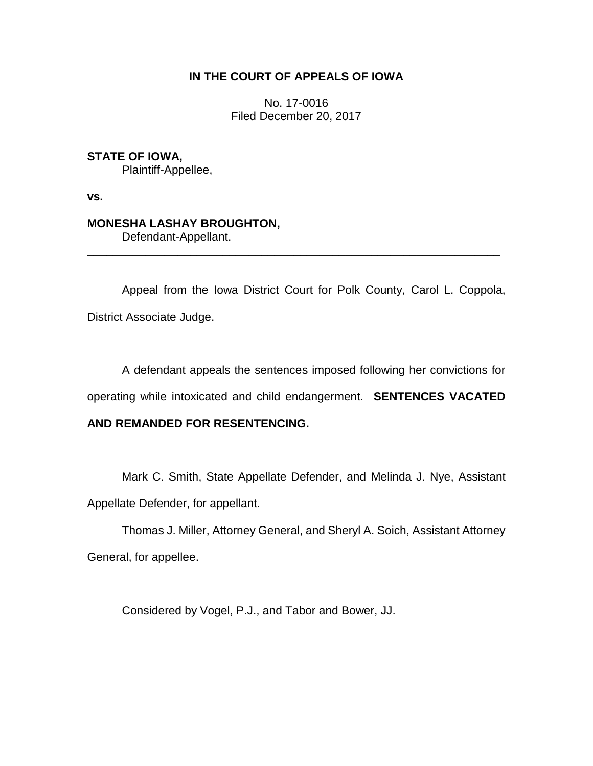# **IN THE COURT OF APPEALS OF IOWA**

No. 17-0016 Filed December 20, 2017

**STATE OF IOWA,** Plaintiff-Appellee,

**vs.**

## **MONESHA LASHAY BROUGHTON,**

Defendant-Appellant.

Appeal from the Iowa District Court for Polk County, Carol L. Coppola, District Associate Judge.

\_\_\_\_\_\_\_\_\_\_\_\_\_\_\_\_\_\_\_\_\_\_\_\_\_\_\_\_\_\_\_\_\_\_\_\_\_\_\_\_\_\_\_\_\_\_\_\_\_\_\_\_\_\_\_\_\_\_\_\_\_\_\_\_

A defendant appeals the sentences imposed following her convictions for

operating while intoxicated and child endangerment. **SENTENCES VACATED** 

## **AND REMANDED FOR RESENTENCING.**

Mark C. Smith, State Appellate Defender, and Melinda J. Nye, Assistant Appellate Defender, for appellant.

Thomas J. Miller, Attorney General, and Sheryl A. Soich, Assistant Attorney General, for appellee.

Considered by Vogel, P.J., and Tabor and Bower, JJ.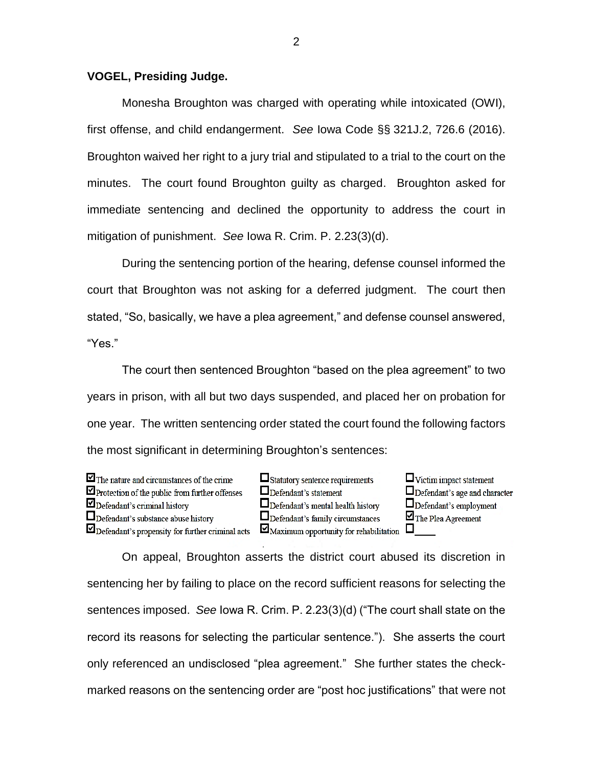## **VOGEL, Presiding Judge.**

Monesha Broughton was charged with operating while intoxicated (OWI), first offense, and child endangerment. *See* Iowa Code §§ 321J.2, 726.6 (2016). Broughton waived her right to a jury trial and stipulated to a trial to the court on the minutes. The court found Broughton guilty as charged. Broughton asked for immediate sentencing and declined the opportunity to address the court in mitigation of punishment. *See* Iowa R. Crim. P. 2.23(3)(d).

During the sentencing portion of the hearing, defense counsel informed the court that Broughton was not asking for a deferred judgment. The court then stated, "So, basically, we have a plea agreement," and defense counsel answered, "Yes."

The court then sentenced Broughton "based on the plea agreement" to two years in prison, with all but two days suspended, and placed her on probation for one year. The written sentencing order stated the court found the following factors the most significant in determining Broughton's sentences:

 $\blacksquare$  The nature and circumstances of the crime Protection of the public from further offenses  $\nabla$  Defendant's criminal history  $\Box$  Defendant's substance abuse history Defendant's propensity for further criminal acts  $\Box$  Statutory sentence requirements  $\Box$ Defendant's statement  $\Box$  Defendant's mental health history  $\Box$  Defendant's family circumstances  $\Box$  Maximum opportunity for rehabilitation  $\Box$ 

 $\Box$  Victim impact statement  $\Box$  Defendant's age and character  $\Box$  Defendant's employment  $\blacksquare$  The Plea Agreement

On appeal, Broughton asserts the district court abused its discretion in sentencing her by failing to place on the record sufficient reasons for selecting the sentences imposed. *See* Iowa R. Crim. P. 2.23(3)(d) ("The court shall state on the record its reasons for selecting the particular sentence."). She asserts the court only referenced an undisclosed "plea agreement." She further states the checkmarked reasons on the sentencing order are "post hoc justifications" that were not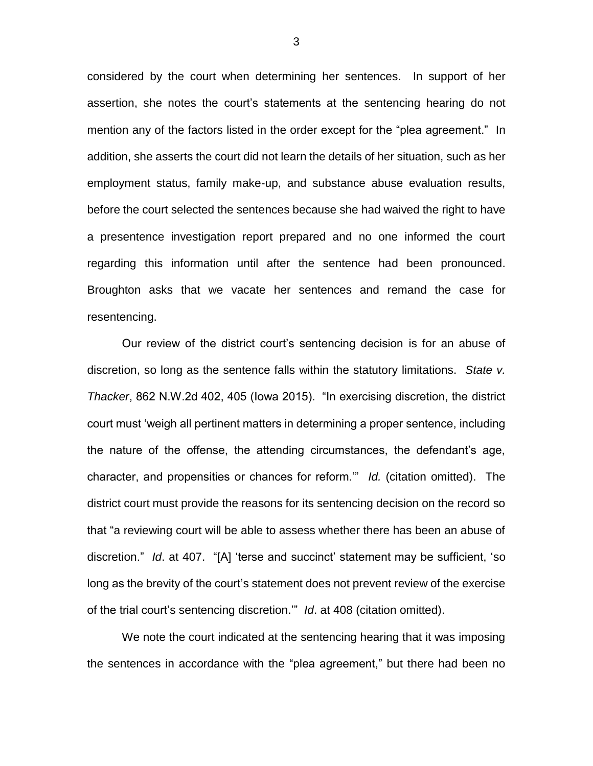considered by the court when determining her sentences. In support of her assertion, she notes the court's statements at the sentencing hearing do not mention any of the factors listed in the order except for the "plea agreement." In addition, she asserts the court did not learn the details of her situation, such as her employment status, family make-up, and substance abuse evaluation results, before the court selected the sentences because she had waived the right to have a presentence investigation report prepared and no one informed the court regarding this information until after the sentence had been pronounced. Broughton asks that we vacate her sentences and remand the case for resentencing.

Our review of the district court's sentencing decision is for an abuse of discretion, so long as the sentence falls within the statutory limitations. *State v. Thacker*, 862 N.W.2d 402, 405 (Iowa 2015). "In exercising discretion, the district court must 'weigh all pertinent matters in determining a proper sentence, including the nature of the offense, the attending circumstances, the defendant's age, character, and propensities or chances for reform.'" *Id.* (citation omitted). The district court must provide the reasons for its sentencing decision on the record so that "a reviewing court will be able to assess whether there has been an abuse of discretion." *Id*. at 407. "[A] 'terse and succinct' statement may be sufficient, 'so long as the brevity of the court's statement does not prevent review of the exercise of the trial court's sentencing discretion.'" *Id*. at 408 (citation omitted).

We note the court indicated at the sentencing hearing that it was imposing the sentences in accordance with the "plea agreement," but there had been no

3